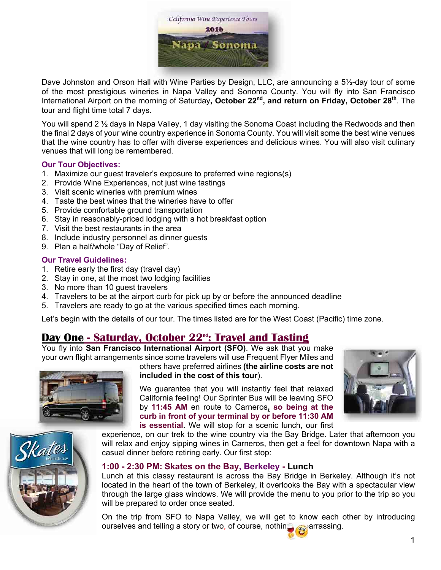

Dave Johnston and Orson Hall with Wine Parties by Design, LLC, are announcing a 5½-day tour of some of the most prestigious wineries in Napa Valley and Sonoma County. You will fly into San Francisco International Airport on the morning of Saturday**, October 22nd, and return on Friday, October 28th**. The tour and flight time total 7 days.

You will spend 2 1/<sub>2</sub> days in Napa Valley, 1 day visiting the Sonoma Coast including the Redwoods and then the final 2 days of your wine country experience in Sonoma County. You will visit some the best wine venues that the wine country has to offer with diverse experiences and delicious wines. You will also visit culinary venues that will long be remembered.

### **Our Tour Objectives:**

- 1. Maximize our guest traveler's exposure to preferred wine regions(s)
- 2. Provide Wine Experiences, not just wine tastings
- 3. Visit scenic wineries with premium wines
- 4. Taste the best wines that the wineries have to offer
- 5. Provide comfortable ground transportation
- 6. Stay in reasonably-priced lodging with a hot breakfast option
- 7. Visit the best restaurants in the area
- 8. Include industry personnel as dinner guests
- 9. Plan a half/whole "Day of Relief".

### **Our Travel Guidelines:**

- 1. Retire early the first day (travel day)
- 2. Stay in one, at the most two lodging facilities
- 3. No more than 10 guest travelers
- 4. Travelers to be at the airport curb for pick up by or before the announced deadline
- 5. Travelers are ready to go at the various specified times each morning.

Let's begin with the details of our tour. The times listed are for the West Coast (Pacific) time zone.

# **Day One - Saturday, October 22nd: Travel and Tasting**

You fly into **San Francisco International Airport (SFO)**. We ask that you make your own flight arrangements since some travelers will use Frequent Flyer Miles and others have preferred airlines **(the airline costs are not** 



**included in the cost of this tour**).

We quarantee that you will instantly feel that relaxed California feeling! Our Sprinter Bus will be leaving SFO by **11:45 AM** en route to Carneros**, so being at the curb in front of your terminal by or before 11:30 AM is essential.** We will stop for a scenic lunch, our first



experience, on our trek to the wine country via the Bay Bridge**.** Later that afternoon you will relax and enjoy sipping wines in Carneros, then get a feel for downtown Napa with a casual dinner before retiring early. Our first stop:

### **1:00 - 2:30 PM: Skates on the Bay, Berkeley - Lunch**

Lunch at this classy restaurant is across the Bay Bridge in Berkeley. Although it's not located in the heart of the town of Berkeley, it overlooks the Bay with a spectacular view through the large glass windows. We will provide the menu to you prior to the trip so you will be prepared to order once seated.

On the trip from SFO to Napa Valley, we will get to know each other by introducing ourselves and telling a story or two, of course, nothing exparrassing.



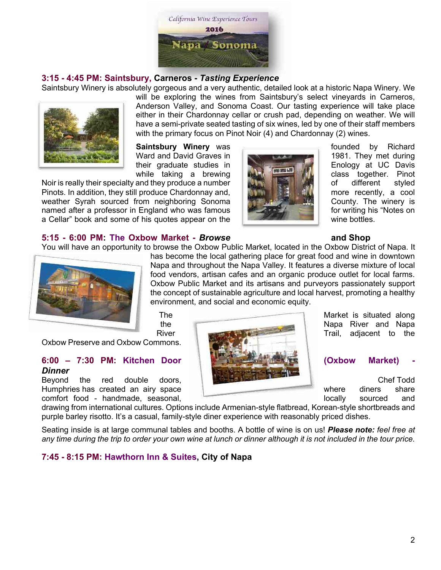

### **3:15 - 4:45 PM: Saintsbury, Carneros -** *Tasting Experience*

Saintsbury Winery is absolutely gorgeous and a very authentic, detailed look at a historic Napa Winery. We



will be exploring the wines from Saintsbury's select vineyards in Carneros, Anderson Valley, and Sonoma Coast. Our tasting experience will take place either in their Chardonnay cellar or crush pad, depending on weather. We will have a semi-private seated tasting of six wines, led by one of their staff members with the primary focus on Pinot Noir (4) and Chardonnay (2) wines.

**Saintsbury Winery** was **founded** by Richard Ward and David Graves in 1981. They met during their graduate studies in **Enology** at UC Davis

Noir is really their specialty and they produce a number **of different** styled Pinots. In addition, they still produce Chardonnay and, **Figure 1998, the figure recently**, a cool weather Syrah sourced from neighboring Sonoma County. The winery is named after a professor in England who was famous **for the state of the state of the state of the state of the state of the state of the state of the state of the state of the state of the state of the state of the state o** a Cellar" book and some of his quotes appear on the wine wine bottles.



while taking a brewing class together. Pinot and they produce a number

#### **5:15 - 6:00 PM: The Oxbow Market -** *Browse* **and Shop**

You will have an opportunity to browse the Oxbow Public Market, located in the Oxbow District of Napa. It



has become the local gathering place for great food and wine in downtown Napa and throughout the Napa Valley. It features a diverse mixture of local food vendors, artisan cafes and an organic produce outlet for local farms. Oxbow Public Market and its artisans and purveyors passionately support the concept of sustainable agriculture and local harvest, promoting a healthy environment, and social and economic equity.

Oxbow Preserve and Oxbow Commons.

### **6:00 – 7:30 PM: Kitchen Door (Oxbow Market) -** *Dinner*

Beyond the red double doors, **Chef Todd** Chef Todd Humphries has created an airy space where diners share where diners share comfort food - handmade, seasonal, **interest and sourced** and locally sourced and



drawing from international cultures. Options include Armenian-style flatbread, Korean-style shortbreads and purple barley risotto. It's a casual, family-style diner experience with reasonably priced dishes.

Seating inside is at large communal tables and booths. A bottle of wine is on us! *Please note: feel free at any time during the trip to order your own wine at lunch or dinner although it is not included in the tour price.*

# **7:45 - 8:15 PM: Hawthorn Inn & Suites, City of Napa**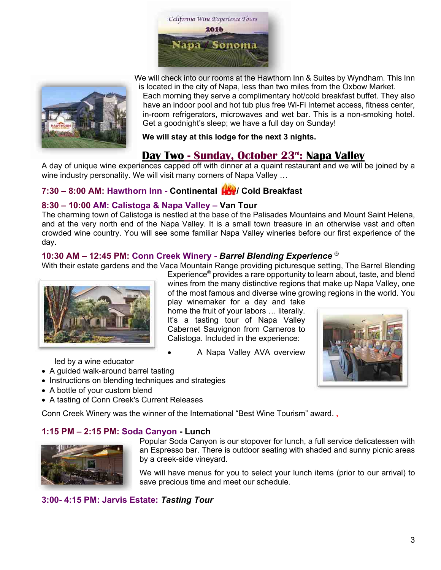



We will check into our rooms at the Hawthorn Inn & Suites by Wyndham. This Inn is located in the city of Napa, less than two miles from the Oxbow Market.

Each morning they serve a complimentary hot/cold breakfast buffet. They also have an indoor pool and hot tub plus free Wi-Fi Internet access, fitness center, in-room refrigerators, microwaves and wet bar. This is a non-smoking hotel. Get a goodnight's sleep; we have a full day on Sunday!

**We will stay at this lodge for the next 3 nights.**

# **Day Two - Sunday, October 23rd: Napa Valley**

A day of unique wine experiences capped off with dinner at a quaint restaurant and we will be joined by a wine industry personality. We will visit many corners of Napa Valley …

# **7:30 – 8:00 AM: Hawthorn Inn - Continental / Cold Breakfast**

# **8:30 – 10:00 AM: Calistoga & Napa Valley – Van Tour**

The charming town of Calistoga is nestled at the base of the Palisades Mountains and Mount Saint Helena, and at the very north end of the Napa Valley. It is a small town treasure in an otherwise vast and often crowded wine country. You will see some familiar Napa Valley wineries before our first experience of the day.

# **10:30 AM – 12:45 PM: Conn Creek Winery -** *Barrel Blending Experience* ®

With their estate gardens and the Vaca Mountain Range providing picturesque setting, The Barrel Blending



Experience® provides a rare opportunity to learn about, taste, and blend wines from the many distinctive regions that make up Napa Valley, one of the most famous and diverse wine growing regions in the world. You play winemaker for a day and take

home the fruit of your labors … literally. It's a tasting tour of Napa Valley Cabernet Sauvignon from Carneros to Calistoga. Included in the experience:

• A Napa Valley AVA overview



led by a wine educator

- A guided walk-around barrel tasting
- Instructions on blending techniques and strategies
- A bottle of your custom blend
- A tasting of Conn Creek's Current Releases

Conn Creek Winery was the winner of the International "Best Wine Tourism" award. **,**

# **1:15 PM – 2:15 PM: Soda Canyon - Lunch**



Popular Soda Canyon is our stopover for lunch, a full service delicatessen with an Espresso bar. There is outdoor seating with shaded and sunny picnic areas by a creek-side vineyard.

We will have menus for you to select your lunch items (prior to our arrival) to save precious time and meet our schedule.

# **3:00- 4:15 PM: Jarvis Estate:** *Tasting Tour*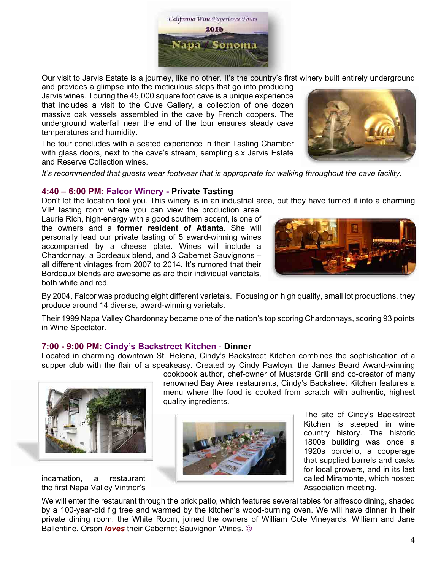

Our visit to Jarvis Estate is a journey, like no other. It's the country's first winery built entirely underground

and provides a glimpse into the meticulous steps that go into producing Jarvis wines. Touring the 45,000 square foot cave is a unique experience that includes a visit to the Cuve Gallery, a collection of one dozen massive oak vessels assembled in the cave by French coopers. The underground waterfall near the end of the tour ensures steady cave temperatures and humidity.

The tour concludes with a seated experience in their Tasting Chamber with glass doors, next to the cave's stream, sampling six Jarvis Estate and Reserve Collection wines.



### **4:40 – 6:00 PM: Falcor Winery - Private Tasting**

Don't let the location fool you. This winery is in an industrial area, but they have turned it into a charming VIP tasting room where you can view the production area.

Laurie Rich, high-energy with a good southern accent, is one of the owners and a **former resident of Atlanta**. She will personally lead our private tasting of 5 award-winning wines accompanied by a cheese plate. Wines will include a Chardonnay, a Bordeaux blend, and 3 Cabernet Sauvignons – all different vintages from 2007 to 2014. It's rumored that their Bordeaux blends are awesome as are their individual varietals, both white and red.



By 2004, Falcor was producing eight different varietals. Focusing on high quality, small lot productions, they produce around 14 diverse, award-winning varietals.

Their 1999 Napa Valley Chardonnay became one of the nation's top scoring Chardonnays, scoring 93 points in Wine Spectator.

### **7:00 - 9:00 PM: Cindy's Backstreet Kitchen** - **Dinner**

Located in charming downtown St. Helena, Cindy's Backstreet Kitchen combines the sophistication of a supper club with the flair of a speakeasy. Created by Cindy Pawlcyn, the James Beard Award-winning



the first Napa Valley Vintner's **Association meeting.** Association meeting.

cookbook author, chef-owner of Mustards Grill and co-creator of many renowned Bay Area restaurants, Cindy's Backstreet Kitchen features a menu where the food is cooked from scratch with authentic, highest quality ingredients.



The site of Cindy's Backstreet Kitchen is steeped in wine country history. The historic 1800s building was once a 1920s bordello, a cooperage that supplied barrels and casks for local growers, and in its last

We will enter the restaurant through the brick patio, which features several tables for alfresco dining, shaded by a 100-year-old fig tree and warmed by the kitchen's wood-burning oven. We will have dinner in their private dining room, the White Room, joined the owners of William Cole Vineyards, William and Jane Ballentine. Orson *loves* their Cabernet Sauvignon Wines.  $\odot$ 

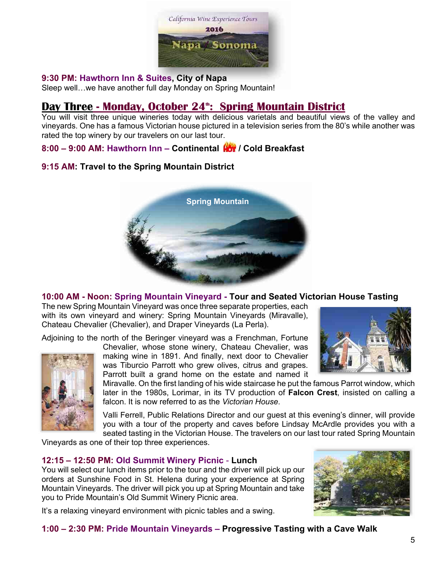

### **9:30 PM: Hawthorn Inn & Suites, City of Napa**

Sleep well…we have another full day Monday on Spring Mountain!

# **Day Three - Monday, October 24<sup>th</sup>: Spring Mountain District**

You will visit three unique wineries today with delicious varietals and beautiful views of the valley and vineyards. One has a famous Victorian house pictured in a television series from the 80's while another was rated the top winery by our travelers on our last tour.

**8:00 – 9:00 AM: Hawthorn Inn – Continental / Cold Breakfast**

# **9:15 AM: Travel to the Spring Mountain District**



# **10:00 AM - Noon: Spring Mountain Vineyard - Tour and Seated Victorian House Tasting**

The new Spring Mountain Vineyard was once three separate properties, each with its own vineyard and winery: Spring Mountain Vineyards (Miravalle), Chateau Chevalier (Chevalier), and Draper Vineyards (La Perla).

Adjoining to the north of the Beringer vineyard was a Frenchman, Fortune



Chevalier, whose stone winery, Chateau Chevalier, was making wine in 1891. And finally, next door to Chevalier was Tiburcio Parrott who grew olives, citrus and grapes. Parrott built a grand home on the estate and named it



Miravalle. On the first landing of his wide staircase he put the famous Parrot window, which later in the 1980s, Lorimar, in its TV production of **Falcon Crest**, insisted on calling a falcon. It is now referred to as the *Victorian House*.

Valli Ferrell, Public Relations Director and our guest at this evening's dinner, will provide you with a tour of the property and caves before Lindsay McArdle provides you with a seated tasting in the Victorian House. The travelers on our last tour rated Spring Mountain

Vineyards as one of their top three experiences.

# **12:15 – 12:50 PM: Old Summit Winery Picnic** - **Lunch**

You will select our lunch items prior to the tour and the driver will pick up our orders at Sunshine Food in St. Helena during your experience at Spring Mountain Vineyards. The driver will pick you up at Spring Mountain and take you to Pride Mountain's Old Summit Winery Picnic area.



It's a relaxing vineyard environment with picnic tables and a swing.

# **1:00 – 2:30 PM: Pride Mountain Vineyards – Progressive Tasting with a Cave Walk**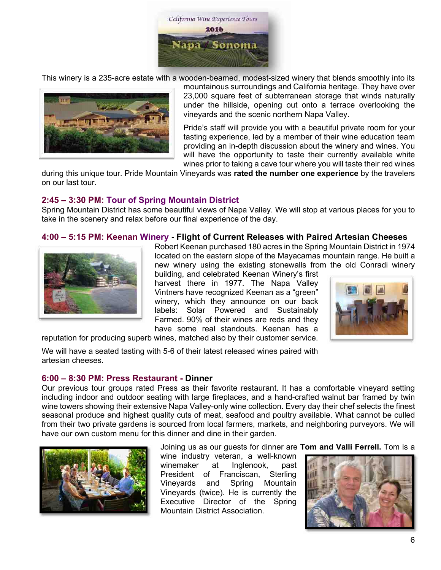

This winery is a 235-acre estate with a wooden-beamed, modest-sized winery that blends smoothly into its



mountainous surroundings and California heritage. They have over 23,000 square feet of subterranean storage that winds naturally under the hillside, opening out onto a terrace overlooking the vineyards and the scenic northern Napa Valley.

Pride's staff will provide you with a beautiful private room for your tasting experience, led by a member of their wine education team providing an in-depth discussion about the winery and wines. You will have the opportunity to taste their currently available white wines prior to taking a cave tour where you will taste their red wines

during this unique tour. Pride Mountain Vineyards was **rated the number one experience** by the travelers on our last tour.

### **2:45 – 3:30 PM: Tour of Spring Mountain District**

Spring Mountain District has some beautiful views of Napa Valley. We will stop at various places for you to take in the scenery and relax before our final experience of the day.

### **4:00 – 5:15 PM: Keenan Winery - Flight of Current Releases with Paired Artesian Cheeses**



Robert Keenan purchased 180 acres in the Spring Mountain District in 1974 located on the eastern slope of the Mayacamas mountain range. He built a new winery using the existing stonewalls from the old Conradi winery

building, and celebrated Keenan Winery's first harvest there in 1977. The Napa Valley Vintners have recognized Keenan as a "green" winery, which they announce on our back labels: Solar Powered and Sustainably Farmed. 90% of their wines are reds and they have some real standouts. Keenan has a



reputation for producing superb wines, matched also by their customer service.

We will have a seated tasting with 5-6 of their latest released wines paired with artesian cheeses.

### **6:00 – 8:30 PM: Press Restaurant - Dinner**

Our previous tour groups rated Press as their favorite restaurant. It has a comfortable vineyard setting including indoor and outdoor seating with large fireplaces, and a hand-crafted walnut bar framed by twin wine towers showing their extensive Napa Valley-only wine collection. Every day their chef selects the finest seasonal produce and highest quality cuts of meat, seafood and poultry available. What cannot be culled from their two private gardens is sourced from local farmers, markets, and neighboring purveyors. We will have our own custom menu for this dinner and dine in their garden.



Joining us as our guests for dinner are **Tom and Valli Ferrell.** Tom is a

wine industry veteran, a well-known winemaker at Inglenook, past President of Franciscan, Sterling Vineyards and Spring Mountain Vineyards (twice). He is currently the Executive Director of the Spring Mountain District Association.

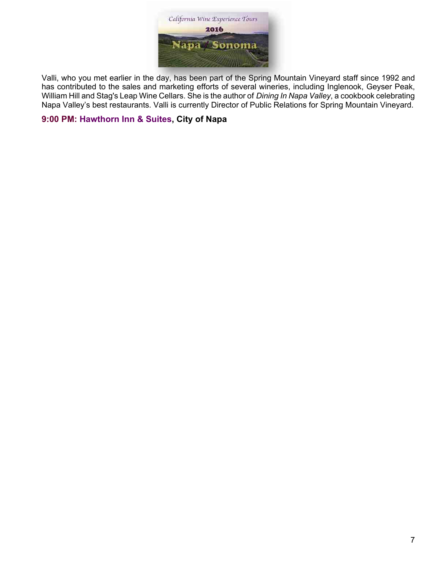

Valli, who you met earlier in the day, has been part of the Spring Mountain Vineyard staff since 1992 and has contributed to the sales and marketing efforts of several wineries, including Inglenook, Geyser Peak, William Hill and Stag's Leap Wine Cellars. She is the author of *Dining In Napa Valley*, a cookbook celebrating Napa Valley's best restaurants. Valli is currently Director of Public Relations for Spring Mountain Vineyard.

# **9:00 PM: Hawthorn Inn & Suites, City of Napa**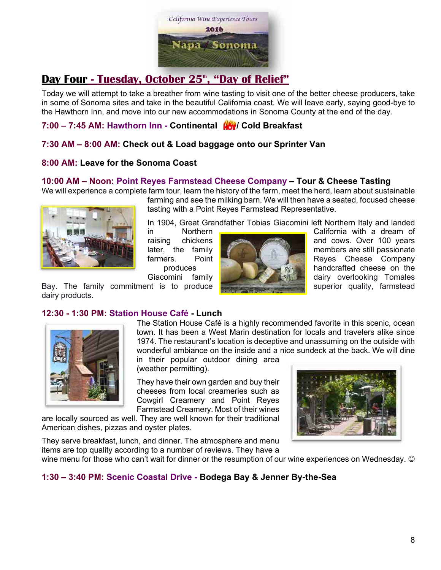

# **Day Four - Tuesday, October 25<sup>th</sup>, "Day of Relief"**

Today we will attempt to take a breather from wine tasting to visit one of the better cheese producers, take in some of Sonoma sites and take in the beautiful California coast. We will leave early, saying good-bye to the Hawthorn Inn, and move into our new accommodations in Sonoma County at the end of the day.

# **7:00 – 7:45 AM: Hawthorn Inn - Continental / Cold Breakfast**

# **7:30 AM – 8:00 AM: Check out & Load baggage onto our Sprinter Van**

# **8:00 AM: Leave for the Sonoma Coast**

# **10:00 AM – Noon: Point Reyes Farmstead Cheese Company – Tour & Cheese Tasting**

We will experience a complete farm tour, learn the history of the farm, meet the herd, learn about sustainable



farming and see the milking barn. We will then have a seated, focused cheese tasting with a Point Reyes Farmstead Representative.

In 1904, Great Grandfather Tobias Giacomini left Northern Italy and landed

in Morthern California with a dream of raising chickens **and cows.** Over 100 years later, the family  $\blacksquare$  members are still passionate farmers. Point Reyes Cheese Company produces  $h(x) = \frac{1}{x}$  handcrafted cheese on the Giacomini family **dairy dairy overlooking Tomales** 

Bay. The family commitment is to produce **superior superior and superior** quality, farmstead dairy products.

# **12:30 - 1:30 PM: Station House Café - Lunch**



The Station House Café is a highly recommended favorite in this scenic, ocean town. It has been a West Marin destination for locals and travelers alike since 1974. The restaurant's location is deceptive and unassuming on the outside with wonderful ambiance on the inside and a nice sundeck at the back. We will dine

in their popular outdoor dining area (weather permitting).

They have their own garden and buy their cheeses from local creameries such as Cowgirl Creamery and Point Reyes Farmstead Creamery. Most of their wines

are locally sourced as well. They are well known for their traditional American dishes, pizzas and oyster plates.

They serve breakfast, lunch, and dinner. The atmosphere and menu items are top quality according to a number of reviews. They have a



wine menu for those who can't wait for dinner or the resumption of our wine experiences on Wednesday.  $\odot$ 

# **1:30 – 3:40 PM: Scenic Coastal Drive - Bodega Bay & Jenner By**-**the-Sea**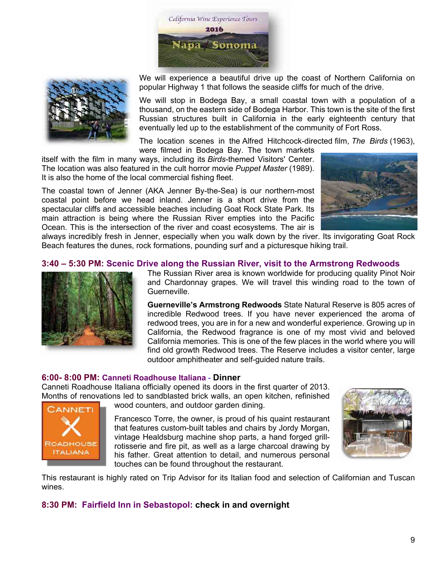



We will experience a beautiful drive up the coast of Northern California on popular Highway 1 that follows the seaside cliffs for much of the drive.

We will stop in Bodega Bay, a small coastal town with a population of a thousand, on the eastern side of Bodega Harbor. This town is the site of the first Russian structures built in California in the early eighteenth century that eventually led up to the establishment of the community of Fort Ross.

The location scenes in the Alfred Hitchcock-directed film, *The Birds* (1963),

were filmed in Bodega Bay. The town markets itself with the film in many ways, including its *Birds*-themed Visitors' Center. The location was also featured in the cult horror movie *Puppet Master* (1989). It is also the home of the local commercial fishing fleet.

The coastal town of Jenner (AKA Jenner By-the-Sea) is our northern-most coastal point before we head inland. Jenner is a short drive from the spectacular cliffs and accessible beaches including Goat Rock State Park. Its main attraction is being where the Russian River empties into the Pacific Ocean. This is the intersection of the river and coast ecosystems. The air is



always incredibly fresh in Jenner, especially when you walk down by the river. Its invigorating Goat Rock Beach features the dunes, rock formations, pounding surf and a picturesque hiking trail.

### **3:40 – 5:30 PM: Scenic Drive along the Russian River, visit to the Armstrong Redwoods**



The Russian River area is known worldwide for producing quality Pinot Noir and Chardonnay grapes. We will travel this winding road to the town of Guerneville.

**Guerneville's Armstrong Redwoods** State Natural Reserve is 805 acres of incredible Redwood trees. If you have never experienced the aroma of redwood trees, you are in for a new and wonderful experience. Growing up in California, the Redwood fragrance is one of my most vivid and beloved California memories. This is one of the few places in the world where you will find old growth Redwood trees. The Reserve includes a visitor center, large outdoor amphitheater and self-guided nature trails.

### **6:00- 8:00 PM: Canneti Roadhouse Italiana** - **Dinner**

Canneti Roadhouse Italiana officially opened its doors in the first quarter of 2013. Months of renovations led to sandblasted brick walls, an open kitchen, refinished



wood counters, and outdoor garden dining.

Francesco Torre, the owner, is proud of his quaint restaurant that features custom-built tables and chairs by Jordy Morgan, vintage Healdsburg machine shop parts, a hand forged grillrotisserie and fire pit, as well as a large charcoal drawing by his father. Great attention to detail, and numerous personal touches can be found throughout the restaurant.



This restaurant is highly rated on Trip Advisor for its Italian food and selection of Californian and Tuscan wines.

# **8:30 PM: Fairfield Inn in Sebastopol: check in and overnight**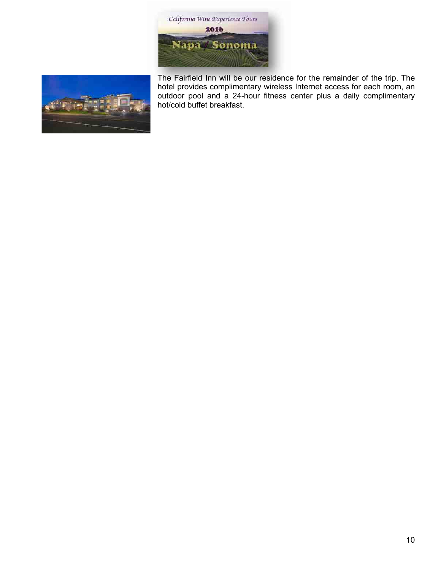



The Fairfield Inn will be our residence for the remainder of the trip. The hotel provides complimentary wireless Internet access for each room, an outdoor pool and a 24-hour fitness center plus a daily complimentary hot/cold buffet breakfast.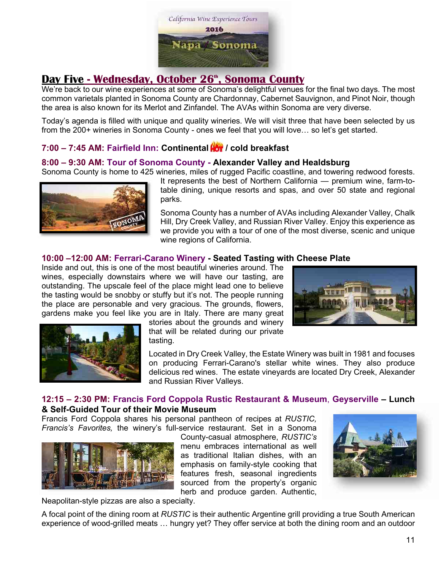

# **Day Five - Wednesday, October 26<sup>th</sup>, Sonoma County**

We're back to our wine experiences at some of Sonoma's delightful venues for the final two days. The most common varietals planted in Sonoma County are Chardonnay, Cabernet Sauvignon, and Pinot Noir, though the area is also known for its Merlot and Zinfandel. The AVAs within Sonoma are very diverse.

Today's agenda is filled with unique and quality wineries. We will visit three that have been selected by us from the 200+ wineries in Sonoma County - ones we feel that you will love… so let's get started.

# **7:00 – 7:45 AM: Fairfield Inn: Continental / cold breakfast**

### **8:00 – 9:30 AM: Tour of Sonoma County - Alexander Valley and Healdsburg**

Sonoma County is home to 425 wineries, miles of rugged Pacific coastline, and towering redwood forests.



It represents the best of Northern California — premium wine, farm-totable dining, unique resorts and spas, and over 50 state and regional parks.

Sonoma County has a number of AVAs including Alexander Valley, Chalk Hill, Dry Creek Valley, and Russian River Valley. Enjoy this experience as we provide you with a tour of one of the most diverse, scenic and unique wine regions of California.

### **10:00 –12:00 AM: Ferrari-Carano Winery - Seated Tasting with Cheese Plate**

Inside and out, this is one of the most beautiful wineries around. The wines, especially downstairs where we will have our tasting, are outstanding. The upscale feel of the place might lead one to believe the tasting would be snobby or stuffy but it's not. The people running the place are personable and very gracious. The grounds, flowers, gardens make you feel like you are in Italy. There are many great





stories about the grounds and winery that will be related during our private tasting.

Located in Dry Creek Valley, the Estate Winery was built in 1981 and focuses on producing Ferrari-Carano's stellar white wines. They also produce delicious red wines. The estate vineyards are located Dry Creek, Alexander and Russian River Valleys.

# **12:15 – 2:30 PM: Francis Ford Coppola Rustic Restaurant & Museum**, **Geyserville – Lunch & Self-Guided Tour of their Movie Museum**

Francis Ford Coppola shares his personal pantheon of recipes at *RUSTIC, Francis's Favorites,* the winery's full-service restaurant. Set in a Sonoma



County-casual atmosphere, *RUSTIC's* menu embraces international as well as traditional Italian dishes, with an emphasis on family-style cooking that features fresh, seasonal ingredients sourced from the property's organic herb and produce garden. Authentic,



Neapolitan-style pizzas are also a specialty.

A focal point of the dining room at *RUSTIC* is their authentic Argentine grill providing a true South American experience of wood-grilled meats … hungry yet? They offer service at both the dining room and an outdoor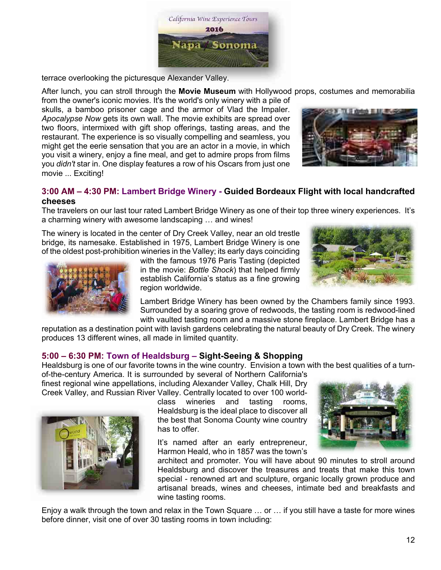

terrace overlooking the picturesque Alexander Valley.

After lunch, you can stroll through the **Movie Museum** with Hollywood props, costumes and memorabilia

from the owner's iconic movies. It's the world's only winery with a pile of skulls, a bamboo prisoner cage and the armor of Vlad the Impaler. *Apocalypse Now* gets its own wall. The movie exhibits are spread over two floors, intermixed with gift shop offerings, tasting areas, and the restaurant. The experience is so visually compelling and seamless, you might get the eerie sensation that you are an actor in a movie, in which you visit a winery, enjoy a fine meal, and get to admire props from films you *didn't* star in. One display features a row of his Oscars from just one movie ... Exciting!



# **3:00 AM – 4:30 PM: Lambert Bridge Winery - Guided Bordeaux Flight with local handcrafted cheeses**

The travelers on our last tour rated Lambert Bridge Winery as one of their top three winery experiences. It's a charming winery with awesome landscaping … and wines!

The winery is located in the center of Dry Creek Valley, near an old trestle bridge, its namesake. Established in 1975, Lambert Bridge Winery is one of the oldest post-prohibition wineries in the Valley; its early days coinciding



with the famous 1976 Paris Tasting (depicted in the movie: *Bottle Shock*) that helped firmly establish California's status as a fine growing region worldwide.



Lambert Bridge Winery has been owned by the Chambers family since 1993. Surrounded by a soaring grove of redwoods, the tasting room is redwood-lined with vaulted tasting room and a massive stone fireplace. Lambert Bridge has a

reputation as a destination point with lavish gardens celebrating the natural beauty of Dry Creek. The winery produces 13 different wines, all made in limited quantity.

# **5:00 – 6:30 PM: Town of Healdsburg – Sight-Seeing & Shopping**

Healdsburg is one of our favorite towns in the wine country. Envision a town with the best qualities of a turn-

of-the-century America. It is surrounded by several of Northern California's finest regional wine appellations, including Alexander Valley, Chalk Hill, Dry Creek Valley, and Russian River Valley. Centrally located to over 100 world-



class wineries and tasting rooms, Healdsburg is the ideal place to discover all the best that Sonoma County wine country has to offer.

It's named after an early entrepreneur, Harmon Heald, who in 1857 was the town's



architect and promoter. You will have about 90 minutes to stroll around Healdsburg and discover the treasures and treats that make this town special - renowned art and sculpture, organic locally grown produce and artisanal breads, wines and cheeses, intimate bed and breakfasts and wine tasting rooms.

Enjoy a walk through the town and relax in the Town Square … or … if you still have a taste for more wines before dinner, visit one of over 30 tasting rooms in town including: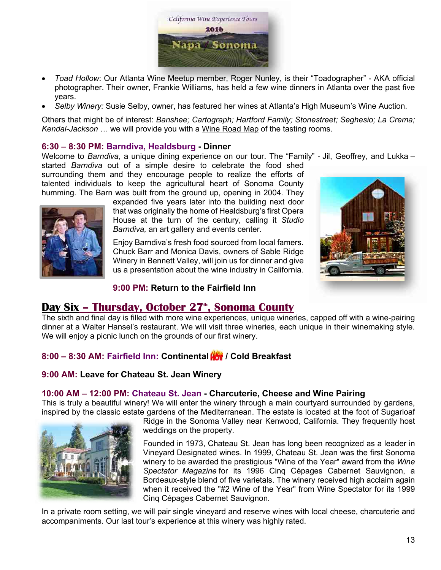

- *Toad Hollow*: Our Atlanta Wine Meetup member, Roger Nunley, is their "Toadographer" AKA official photographer. Their owner, Frankie Williams, has held a few wine dinners in Atlanta over the past five years.
- *Selby Winery:* Susie Selby, owner, has featured her wines at Atlanta's High Museum's Wine Auction.

Others that might be of interest: *Banshee; Cartograph; Hartford Family; Stonestreet; Seghesio; La Crema; Kendal-Jackson* … we will provide you with a Wine Road Map of the tasting rooms.

### **6:30 – 8:30 PM: Barndiva, Healdsburg - Dinner**

Welcome to *Barndiva*, a unique dining experience on our tour. The "Family" - Jil, Geoffrey, and Lukka –

started *Barndiva* out of a simple desire to celebrate the food shed surrounding them and they encourage people to realize the efforts of talented individuals to keep the agricultural heart of Sonoma County humming. The Barn was built from the ground up, opening in 2004. They



expanded five years later into the building next door that was originally the home of Healdsburg's first Opera House at the turn of the century, calling it *Studio Barndiva,* an art gallery and events center.

Enjoy Barndiva's fresh food sourced from local famers. Chuck Barr and Monica Davis, owners of Sable Ridge Winery in Bennett Valley, will join us for dinner and give us a presentation about the wine industry in California.



# **9:00 PM: Return to the Fairfield Inn**

# **Day Six - Thursday, October 27<sup>th</sup>, Sonoma County**

The sixth and final day is filled with more wine experiences, unique wineries, capped off with a wine-pairing dinner at a Walter Hansel's restaurant. We will visit three wineries, each unique in their winemaking style. We will enjoy a picnic lunch on the grounds of our first winery.

# **8:00 – 8:30 AM: Fairfield Inn: Continental / Cold Breakfast**

# **9:00 AM: Leave for Chateau St. Jean Winery**

# **10:00 AM – 12:00 PM: Chateau St. Jean - Charcuterie, Cheese and Wine Pairing**

This is truly a beautiful winery! We will enter the winery through a main courtyard surrounded by gardens, inspired by the classic estate gardens of the Mediterranean. The estate is located at the foot of Sugarloaf



Ridge in the Sonoma Valley near Kenwood, California. They frequently host weddings on the property.

Founded in 1973, Chateau St. Jean has long been recognized as a leader in Vineyard Designated wines. In 1999, Chateau St. Jean was the first Sonoma winery to be awarded the prestigious "Wine of the Year" award from the *Wine Spectator Magazine* for its 1996 Cinq Cépages Cabernet Sauvignon, a Bordeaux-style blend of five varietals. The winery received high acclaim again when it received the "#2 Wine of the Year" from Wine Spectator for its 1999 Cinq Cépages Cabernet Sauvignon.

In a private room setting, we will pair single vineyard and reserve wines with local cheese, charcuterie and accompaniments. Our last tour's experience at this winery was highly rated.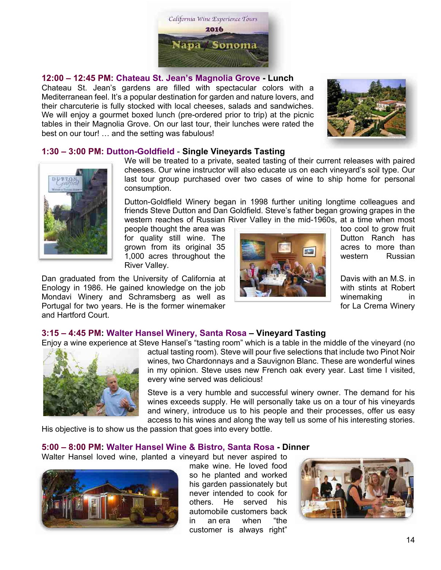

### **12:00 – 12:45 PM: Chateau St. Jean's Magnolia Grove - Lunch**

Chateau St. Jean's gardens are filled with spectacular colors with a Mediterranean feel. It's a popular destination for garden and nature lovers, and their charcuterie is fully stocked with local cheeses, salads and sandwiches. We will enjoy a gourmet boxed lunch (pre-ordered prior to trip) at the picnic tables in their Magnolia Grove. On our last tour, their lunches were rated the best on our tour! … and the setting was fabulous!



### **1:30 – 3:00 PM: Dutton-Goldfield** - **Single Vineyards Tasting**



We will be treated to a private, seated tasting of their current releases with paired cheeses. Our wine instructor will also educate us on each vineyard's soil type. Our last tour group purchased over two cases of wine to ship home for personal consumption.

Dutton-Goldfield Winery began in 1998 further uniting longtime colleagues and friends Steve Dutton and Dan Goldfield. Steve's father began growing grapes in the western reaches of Russian River Valley in the mid-1960s, at a time when most

River Valley.

Dan graduated from the University of California at Davis With an M.S. in Enology in 1986. He gained knowledge on the job  $\frac{1}{2}$  with stints at Robert Mondavi Winery and Schramsberg as well as **which is a state of a state of a state of a state in** winemaking in Portugal for two years. He is the former winemaker for the state of the Crema Winery and Hartford Court.



### **3:15 – 4:45 PM: Walter Hansel Winery, Santa Rosa – Vineyard Tasting**

Enjoy a wine experience at Steve Hansel's "tasting room" which is a table in the middle of the vineyard (no



actual tasting room). Steve will pour five selections that include two Pinot Noir wines, two Chardonnays and a Sauvignon Blanc. These are wonderful wines in my opinion. Steve uses new French oak every year. Last time I visited, every wine served was delicious!

Steve is a very humble and successful winery owner. The demand for his wines exceeds supply. He will personally take us on a tour of his vineyards and winery, introduce us to his people and their processes, offer us easy access to his wines and along the way tell us some of his interesting stories.

His objective is to show us the passion that goes into every bottle.

### **5:00 – 8:00 PM: Walter Hansel Wine & Bistro, Santa Rosa - Dinner**

Walter Hansel loved wine, planted a vineyard but never aspired to



make wine. He loved food so he planted and worked his garden passionately but never intended to cook for others. He served his automobile customers back in an era when "the customer is always right"

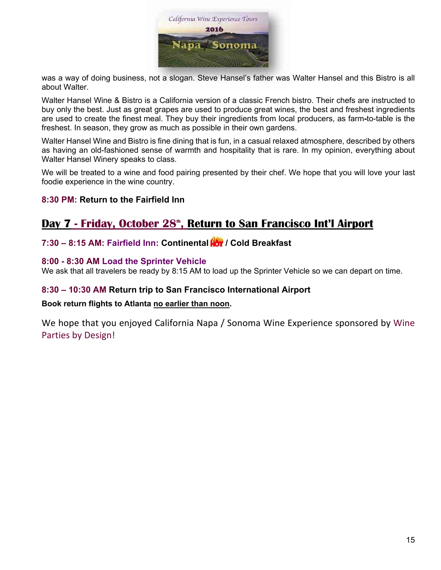

was a way of doing business, not a slogan. Steve Hansel's father was Walter Hansel and this Bistro is all about Walter.

Walter Hansel Wine & Bistro is a California version of a classic French bistro. Their chefs are instructed to buy only the best. Just as great grapes are used to produce great wines, the best and freshest ingredients are used to create the finest meal. They buy their ingredients from local producers, as farm**-**to-table is the freshest. In season, they grow as much as possible in their own gardens.

Walter Hansel Wine and Bistro is fine dining that is fun, in a casual relaxed atmosphere, described by others as having an old-fashioned sense of warmth and hospitality that is rare. In my opinion, everything about Walter Hansel Winery speaks to class.

We will be treated to a wine and food pairing presented by their chef. We hope that you will love your last foodie experience in the wine country.

# **8:30 PM: Return to the Fairfield Inn**

# Day 7 - Friday, October 28<sup>th</sup>, Return to San Francisco Int'l Airport

# **7:30 – 8:15 AM: Fairfield Inn: Continental / Cold Breakfast**

### **8:00 - 8:30 AM Load the Sprinter Vehicle**

We ask that all travelers be ready by 8:15 AM to load up the Sprinter Vehicle so we can depart on time.

# **8:30 – 10:30 AM Return trip to San Francisco International Airport**

### **Book return flights to Atlanta no earlier than noon.**

We hope that you enjoyed California Napa / Sonoma Wine Experience sponsored by Wine Parties by Design!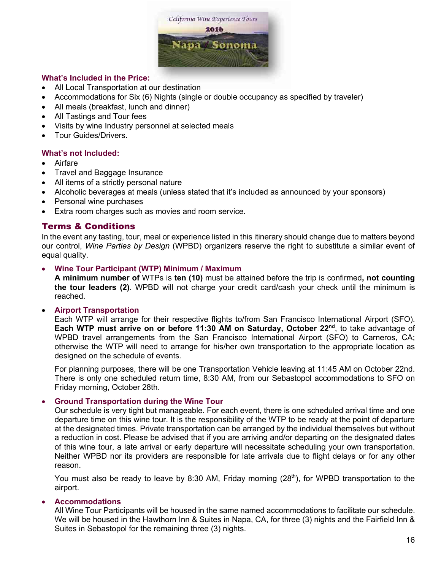

### **What's Included in the Price:**

- All Local Transportation at our destination
- Accommodations for Six (6) Nights (single or double occupancy as specified by traveler)
- All meals (breakfast, lunch and dinner)
- All Tastings and Tour fees
- Visits by wine Industry personnel at selected meals
- Tour Guides/Drivers.

### **What's not Included:**

- Airfare
- Travel and Baggage Insurance
- All items of a strictly personal nature
- Alcoholic beverages at meals (unless stated that it's included as announced by your sponsors)
- Personal wine purchases
- Extra room charges such as movies and room service.

### Terms & Conditions

In the event any tasting, tour, meal or experience listed in this itinerary should change due to matters beyond our control, *Wine Parties by Design* (WPBD) organizers reserve the right to substitute a similar event of equal quality.

### • **Wine Tour Participant (WTP) Minimum / Maximum**

**A minimum number of** WTPs is **ten (10)** must be attained before the trip is confirmed**, not counting the tour leaders (2)**. WPBD will not charge your credit card/cash your check until the minimum is reached.

### • **Airport Transportation**

Each WTP will arrange for their respective flights to/from San Francisco International Airport (SFO). Each WTP must arrive on or before 11:30 AM on Saturday, October 22<sup>nd</sup>, to take advantage of WPBD travel arrangements from the San Francisco International Airport (SFO) to Carneros, CA; otherwise the WTP will need to arrange for his/her own transportation to the appropriate location as designed on the schedule of events.

For planning purposes, there will be one Transportation Vehicle leaving at 11:45 AM on October 22nd. There is only one scheduled return time, 8:30 AM, from our Sebastopol accommodations to SFO on Friday morning, October 28th.

### • **Ground Transportation during the Wine Tour**

Our schedule is very tight but manageable. For each event, there is one scheduled arrival time and one departure time on this wine tour. It is the responsibility of the WTP to be ready at the point of departure at the designated times. Private transportation can be arranged by the individual themselves but without a reduction in cost. Please be advised that if you are arriving and/or departing on the designated dates of this wine tour, a late arrival or early departure will necessitate scheduling your own transportation. Neither WPBD nor its providers are responsible for late arrivals due to flight delays or for any other reason.

You must also be ready to leave by 8:30 AM, Friday morning  $(28<sup>th</sup>)$ , for WPBD transportation to the airport.

### • **Accommodations**

All Wine Tour Participants will be housed in the same named accommodations to facilitate our schedule. We will be housed in the Hawthorn Inn & Suites in Napa, CA, for three (3) nights and the Fairfield Inn & Suites in Sebastopol for the remaining three (3) nights.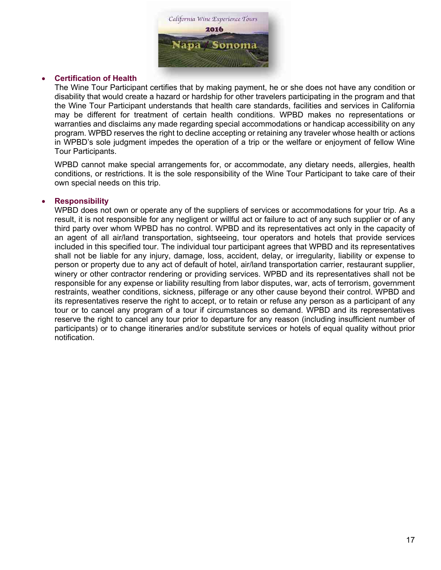

### • **Certification of Health**

The Wine Tour Participant certifies that by making payment, he or she does not have any condition or disability that would create a hazard or hardship for other travelers participating in the program and that the Wine Tour Participant understands that health care standards, facilities and services in California may be different for treatment of certain health conditions. WPBD makes no representations or warranties and disclaims any made regarding special accommodations or handicap accessibility on any program. WPBD reserves the right to decline accepting or retaining any traveler whose health or actions in WPBD's sole judgment impedes the operation of a trip or the welfare or enjoyment of fellow Wine Tour Participants.

WPBD cannot make special arrangements for, or accommodate, any dietary needs, allergies, health conditions, or restrictions. It is the sole responsibility of the Wine Tour Participant to take care of their own special needs on this trip.

### • **Responsibility**

WPBD does not own or operate any of the suppliers of services or accommodations for your trip. As a result, it is not responsible for any negligent or willful act or failure to act of any such supplier or of any third party over whom WPBD has no control. WPBD and its representatives act only in the capacity of an agent of all air/land transportation, sightseeing, tour operators and hotels that provide services included in this specified tour. The individual tour participant agrees that WPBD and its representatives shall not be liable for any injury, damage, loss, accident, delay, or irregularity, liability or expense to person or property due to any act of default of hotel, air/land transportation carrier, restaurant supplier, winery or other contractor rendering or providing services. WPBD and its representatives shall not be responsible for any expense or liability resulting from labor disputes, war, acts of terrorism, government restraints, weather conditions, sickness, pilferage or any other cause beyond their control. WPBD and its representatives reserve the right to accept, or to retain or refuse any person as a participant of any tour or to cancel any program of a tour if circumstances so demand. WPBD and its representatives reserve the right to cancel any tour prior to departure for any reason (including insufficient number of participants) or to change itineraries and/or substitute services or hotels of equal quality without prior notification.